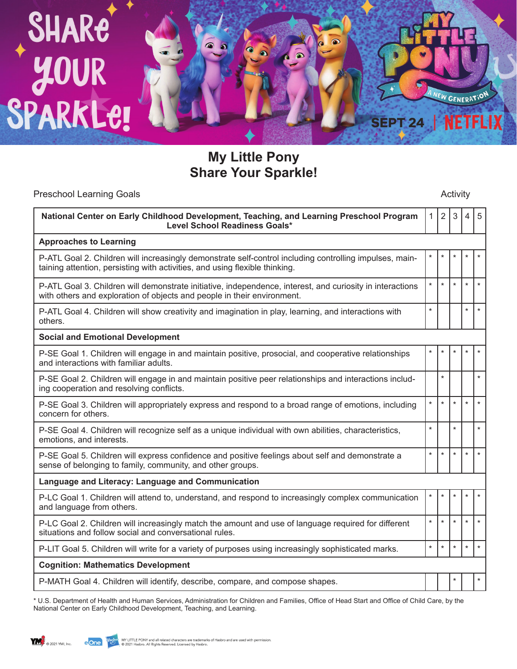

**My Little Pony Share Your Sparkle!**

| <b>Preschool Learning Goals</b>                                                                                                                                                        | Activity     |                |                |                |         |  |
|----------------------------------------------------------------------------------------------------------------------------------------------------------------------------------------|--------------|----------------|----------------|----------------|---------|--|
| National Center on Early Childhood Development, Teaching, and Learning Preschool Program<br><b>Level School Readiness Goals*</b>                                                       | $\mathbf{1}$ | $\overline{2}$ | $\mathfrak{S}$ | $\overline{4}$ | 5       |  |
| <b>Approaches to Learning</b>                                                                                                                                                          |              |                |                |                |         |  |
| P-ATL Goal 2. Children will increasingly demonstrate self-control including controlling impulses, main-<br>taining attention, persisting with activities, and using flexible thinking. | $\star$      | $\star$        |                | $\star$        | $\star$ |  |
| P-ATL Goal 3. Children will demonstrate initiative, independence, interest, and curiosity in interactions<br>with others and exploration of objects and people in their environment.   | $\star$      | $\star$        | $\star$        | $\star$        | $\star$ |  |
| P-ATL Goal 4. Children will show creativity and imagination in play, learning, and interactions with<br>others.                                                                        | $\star$      |                |                | $\star$        | $\star$ |  |
| <b>Social and Emotional Development</b>                                                                                                                                                |              |                |                |                |         |  |
| P-SE Goal 1. Children will engage in and maintain positive, prosocial, and cooperative relationships<br>and interactions with familiar adults.                                         |              |                |                | $\star$        | $\star$ |  |
| P-SE Goal 2. Children will engage in and maintain positive peer relationships and interactions includ-<br>ing cooperation and resolving conflicts.                                     |              | $\star$        |                |                | $\star$ |  |
| P-SE Goal 3. Children will appropriately express and respond to a broad range of emotions, including<br>concern for others.                                                            | $\star$      | $\star$        | $\star$        | $\star$        | $\star$ |  |
| P-SE Goal 4. Children will recognize self as a unique individual with own abilities, characteristics,<br>emotions, and interests.                                                      | $\star$      |                | $\star$        |                | $\star$ |  |
| P-SE Goal 5. Children will express confidence and positive feelings about self and demonstrate a<br>sense of belonging to family, community, and other groups.                         | $\star$      | $\star$        | $\star$        | $\star$        | $\star$ |  |
| Language and Literacy: Language and Communication                                                                                                                                      |              |                |                |                |         |  |
| P-LC Goal 1. Children will attend to, understand, and respond to increasingly complex communication<br>and language from others.                                                       | $\star$      | $\star$        |                | $\star$        | $\star$ |  |
| P-LC Goal 2. Children will increasingly match the amount and use of language required for different<br>situations and follow social and conversational rules.                          | $\star$      | $\star$        | $\star$        | $\star$        | $\star$ |  |
| P-LIT Goal 5. Children will write for a variety of purposes using increasingly sophisticated marks.                                                                                    | $\star$      | $\star$        | $\star$        | $\star$        | $\star$ |  |
| <b>Cognition: Mathematics Development</b>                                                                                                                                              |              |                |                |                |         |  |
| P-MATH Goal 4. Children will identify, describe, compare, and compose shapes.                                                                                                          |              |                |                |                | $\star$ |  |

\* U.S. Department of Health and Human Services, Administration for Children and Families, Office of Head Start and Office of Child Care, by the National Center on Early Childhood Development, Teaching, and Learning.

**YM** @ 2021 YMI, Inc.

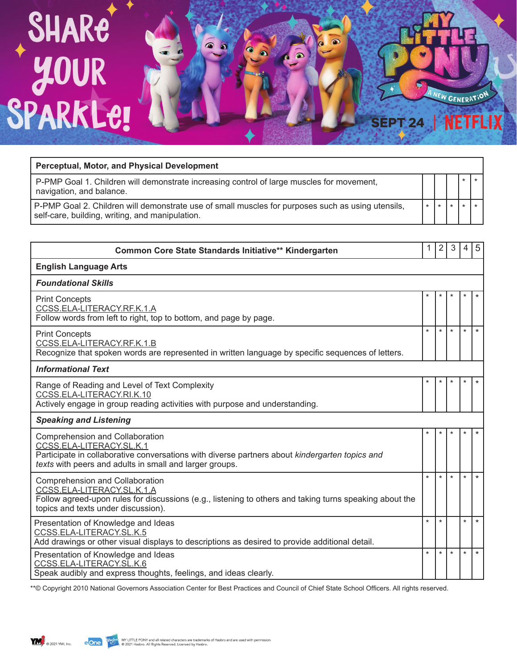## SHARE<br>40UR<br>SPARKLE!  $\bullet$  $\bullet$ **NEW GENERATION NETFLIX SEPT 24**

| <b>Perceptual, Motor, and Physical Development</b>                                                                                                   |  |  |  |
|------------------------------------------------------------------------------------------------------------------------------------------------------|--|--|--|
| P-PMP Goal 1. Children will demonstrate increasing control of large muscles for movement,<br>navigation, and balance.                                |  |  |  |
| P-PMP Goal 2. Children will demonstrate use of small muscles for purposes such as using utensils,<br>self-care, building, writing, and manipulation. |  |  |  |

| Common Core State Standards Initiative** Kindergarten                                                                                                                                                                    | 1       | $\overline{2}$       | 3       | 4                    | 5       |  |  |
|--------------------------------------------------------------------------------------------------------------------------------------------------------------------------------------------------------------------------|---------|----------------------|---------|----------------------|---------|--|--|
| <b>English Language Arts</b>                                                                                                                                                                                             |         |                      |         |                      |         |  |  |
| <b>Foundational Skills</b>                                                                                                                                                                                               |         |                      |         |                      |         |  |  |
| <b>Print Concepts</b><br>CCSS.ELA-LITERACY.RF.K.1.A<br>Follow words from left to right, top to bottom, and page by page.                                                                                                 | $\ast$  | $\ast$               | ÷       | $\star$              | $\star$ |  |  |
| <b>Print Concepts</b><br>CCSS.ELA-LITERACY.RF.K.1.B<br>Recognize that spoken words are represented in written language by specific sequences of letters.                                                                 | $\star$ | $\star$              | $\star$ | $\star$              | $\star$ |  |  |
| <b>Informational Text</b>                                                                                                                                                                                                |         |                      |         |                      |         |  |  |
| Range of Reading and Level of Text Complexity<br>CCSS.ELA-LITERACY.RI.K.10<br>Actively engage in group reading activities with purpose and understanding.                                                                | $\ast$  |                      |         | *                    | $\ast$  |  |  |
| <b>Speaking and Listening</b>                                                                                                                                                                                            |         |                      |         |                      |         |  |  |
| Comprehension and Collaboration<br>CCSS.ELA-LITERACY.SL.K.1<br>Participate in collaborative conversations with diverse partners about kindergarten topics and<br>texts with peers and adults in small and larger groups. | $\ast$  | $\star$              | $\star$ | $\star$              | $\star$ |  |  |
| Comprehension and Collaboration<br>CCSS.ELA-LITERACY.SL.K.1.A<br>Follow agreed-upon rules for discussions (e.g., listening to others and taking turns speaking about the<br>topics and texts under discussion).          | $\star$ | $\ddot{\phantom{0}}$ | ÷       | $\ddot{\phantom{0}}$ | $\star$ |  |  |
| Presentation of Knowledge and Ideas<br>CCSS.ELA-LITERACY.SL.K.5<br>Add drawings or other visual displays to descriptions as desired to provide additional detail.                                                        | $\star$ | $\star$              |         | $\star$              | $\star$ |  |  |
| Presentation of Knowledge and Ideas<br>CCSS.ELA-LITERACY.SL.K.6<br>Speak audibly and express thoughts, feelings, and ideas clearly.                                                                                      | $\star$ | $\star$              | $\star$ | $\star$              | $\star$ |  |  |

\*\*© Copyright 2010 National Governors Association Center for Best Practices and Council of Chief State School Officers. All rights reserved.